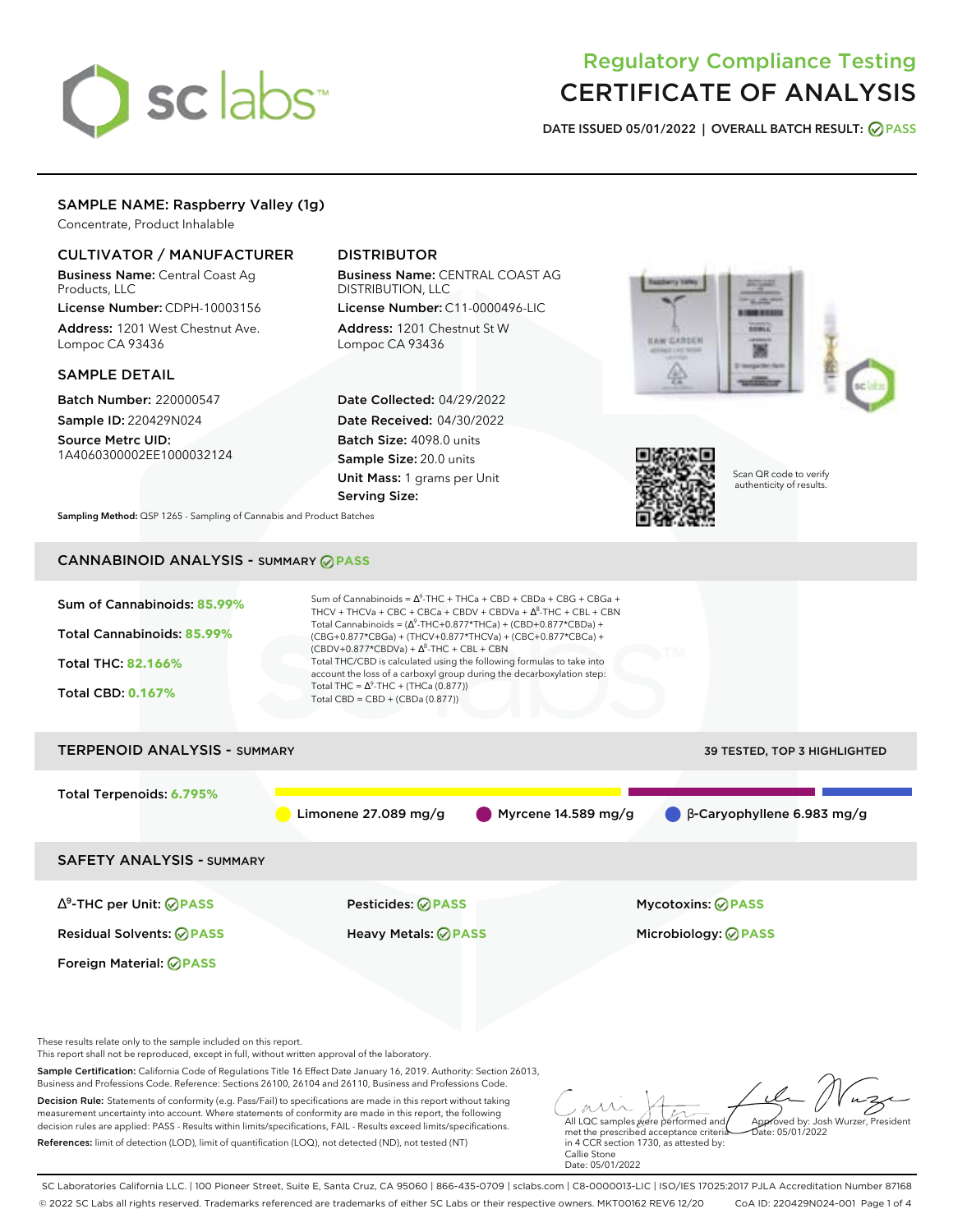# sclabs<sup>\*</sup>

# Regulatory Compliance Testing CERTIFICATE OF ANALYSIS

**DATE ISSUED 05/01/2022 | OVERALL BATCH RESULT: PASS**

#### SAMPLE NAME: Raspberry Valley (1g)

Concentrate, Product Inhalable

### CULTIVATOR / MANUFACTURER

Business Name: Central Coast Ag Products, LLC

License Number: CDPH-10003156 Address: 1201 West Chestnut Ave. Lompoc CA 93436

#### SAMPLE DETAIL

Batch Number: 220000547 Sample ID: 220429N024

Source Metrc UID: 1A4060300002EE1000032124

## DISTRIBUTOR

Business Name: CENTRAL COAST AG DISTRIBUTION, LLC License Number: C11-0000496-LIC

Address: 1201 Chestnut St W Lompoc CA 93436

Date Collected: 04/29/2022 Date Received: 04/30/2022 Batch Size: 4098.0 units Sample Size: 20.0 units Unit Mass: 1 grams per Unit Serving Size:





Scan QR code to verify authenticity of results.

**Sampling Method:** QSP 1265 - Sampling of Cannabis and Product Batches

# CANNABINOID ANALYSIS - SUMMARY **PASS**

| Sum of Cannabinoids: 85.99%<br>Total Cannabinoids: 85.99%<br><b>Total THC: 82.166%</b><br><b>Total CBD: 0.167%</b>                                                                                                     | Sum of Cannabinoids = $\Delta^9$ -THC + THCa + CBD + CBDa + CBG + CBGa +<br>THCV + THCVa + CBC + CBCa + CBDV + CBDVa + $\Delta^8$ -THC + CBL + CBN<br>Total Cannabinoids = $(\Delta^9$ -THC+0.877*THCa) + (CBD+0.877*CBDa) +<br>(CBG+0.877*CBGa) + (THCV+0.877*THCVa) + (CBC+0.877*CBCa) +<br>$(CBDV+0.877*CBDVa) + \Delta^8$ -THC + CBL + CBN<br>Total THC/CBD is calculated using the following formulas to take into<br>account the loss of a carboxyl group during the decarboxylation step:<br>Total THC = $\Delta^9$ -THC + (THCa (0.877))<br>Total CBD = $CBD + (CBDa (0.877))$ |                                                                                                                                                                                                                       |
|------------------------------------------------------------------------------------------------------------------------------------------------------------------------------------------------------------------------|----------------------------------------------------------------------------------------------------------------------------------------------------------------------------------------------------------------------------------------------------------------------------------------------------------------------------------------------------------------------------------------------------------------------------------------------------------------------------------------------------------------------------------------------------------------------------------------|-----------------------------------------------------------------------------------------------------------------------------------------------------------------------------------------------------------------------|
| <b>TERPENOID ANALYSIS - SUMMARY</b>                                                                                                                                                                                    |                                                                                                                                                                                                                                                                                                                                                                                                                                                                                                                                                                                        | 39 TESTED, TOP 3 HIGHLIGHTED                                                                                                                                                                                          |
| Total Terpenoids: 6.795%                                                                                                                                                                                               | Limonene $27.089$ mg/g                                                                                                                                                                                                                                                                                                                                                                                                                                                                                                                                                                 | B-Caryophyllene 6.983 mg/g<br>Myrcene $14.589$ mg/g                                                                                                                                                                   |
| <b>SAFETY ANALYSIS - SUMMARY</b>                                                                                                                                                                                       |                                                                                                                                                                                                                                                                                                                                                                                                                                                                                                                                                                                        |                                                                                                                                                                                                                       |
| $\Delta^9$ -THC per Unit: $\bigcirc$ PASS                                                                                                                                                                              | <b>Pesticides: ⊘ PASS</b>                                                                                                                                                                                                                                                                                                                                                                                                                                                                                                                                                              | <b>Mycotoxins: ⊘ PASS</b>                                                                                                                                                                                             |
| <b>Residual Solvents: ⊘PASS</b>                                                                                                                                                                                        | <b>Heavy Metals: ⊘ PASS</b>                                                                                                                                                                                                                                                                                                                                                                                                                                                                                                                                                            | Microbiology: <b>⊘PASS</b>                                                                                                                                                                                            |
| Foreign Material: <b>⊘ PASS</b>                                                                                                                                                                                        |                                                                                                                                                                                                                                                                                                                                                                                                                                                                                                                                                                                        |                                                                                                                                                                                                                       |
| These results relate only to the sample included on this report.<br>This report shall not be reproduced, except in full, without written approval of the laboratory.                                                   |                                                                                                                                                                                                                                                                                                                                                                                                                                                                                                                                                                                        |                                                                                                                                                                                                                       |
|                                                                                                                                                                                                                        | Sample Certification: California Code of Regulations Title 16 Effect Date January 16, 2019. Authority: Section 26013,<br>Business and Professions Code, Reference: Sections 26100, 26104 and 26110, Business and Professions Code.                                                                                                                                                                                                                                                                                                                                                     |                                                                                                                                                                                                                       |
| measurement uncertainty into account. Where statements of conformity are made in this report, the following<br>References: limit of detection (LOD), limit of quantification (LOQ), not detected (ND), not tested (NT) | Decision Rule: Statements of conformity (e.g. Pass/Fail) to specifications are made in this report without taking<br>decision rules are applied: PASS - Results within limits/specifications, FAIL - Results exceed limits/specifications.                                                                                                                                                                                                                                                                                                                                             | All LQC samples were performed and<br>Approved by: Josh Wurzer, President<br>met the prescribed acceptance criteria<br>Date: 05/01/2022<br>in 4 CCR section 1730, as attested by:<br>Callie Stone<br>Date: 05/01/2022 |

SC Laboratories California LLC. | 100 Pioneer Street, Suite E, Santa Cruz, CA 95060 | 866-435-0709 | sclabs.com | C8-0000013-LIC | ISO/IES 17025:2017 PJLA Accreditation Number 87168 © 2022 SC Labs all rights reserved. Trademarks referenced are trademarks of either SC Labs or their respective owners. MKT00162 REV6 12/20 CoA ID: 220429N024-001 Page 1 of 4